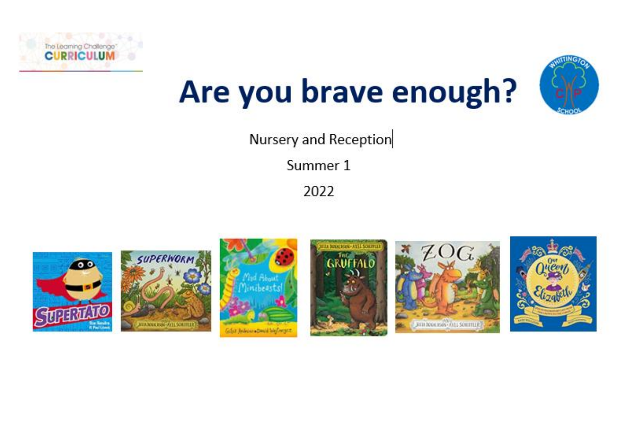



# Are you brave enough?

Nursery and Reception

Summer 1

2022

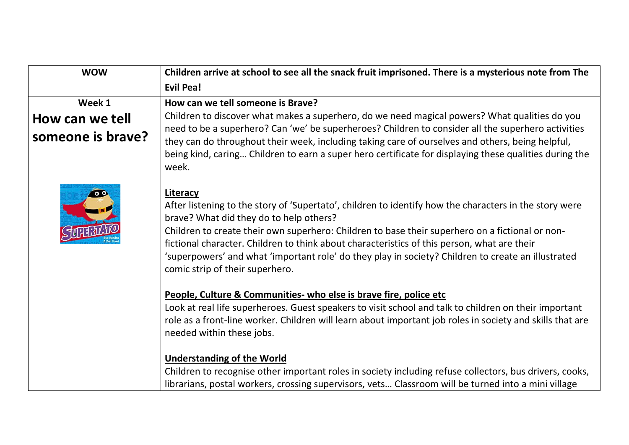| <b>Evil Pea!</b>                                                                                                                                                                                                                                                                                                                                                                                                                                                                                                                                                            |
|-----------------------------------------------------------------------------------------------------------------------------------------------------------------------------------------------------------------------------------------------------------------------------------------------------------------------------------------------------------------------------------------------------------------------------------------------------------------------------------------------------------------------------------------------------------------------------|
| How can we tell someone is Brave?                                                                                                                                                                                                                                                                                                                                                                                                                                                                                                                                           |
| Children to discover what makes a superhero, do we need magical powers? What qualities do you                                                                                                                                                                                                                                                                                                                                                                                                                                                                               |
| need to be a superhero? Can 'we' be superheroes? Children to consider all the superhero activities<br>they can do throughout their week, including taking care of ourselves and others, being helpful,<br>being kind, caring Children to earn a super hero certificate for displaying these qualities during the<br>week.                                                                                                                                                                                                                                                   |
| Literacy<br>After listening to the story of 'Supertato', children to identify how the characters in the story were<br>brave? What did they do to help others?<br>Children to create their own superhero: Children to base their superhero on a fictional or non-<br>fictional character. Children to think about characteristics of this person, what are their<br>'superpowers' and what 'important role' do they play in society? Children to create an illustrated<br>comic strip of their superhero.                                                                    |
| People, Culture & Communities- who else is brave fire, police etc<br>Look at real life superheroes. Guest speakers to visit school and talk to children on their important<br>role as a front-line worker. Children will learn about important job roles in society and skills that are<br>needed within these jobs.<br><b>Understanding of the World</b><br>Children to recognise other important roles in society including refuse collectors, bus drivers, cooks,<br>librarians, postal workers, crossing supervisors, vets Classroom will be turned into a mini village |
|                                                                                                                                                                                                                                                                                                                                                                                                                                                                                                                                                                             |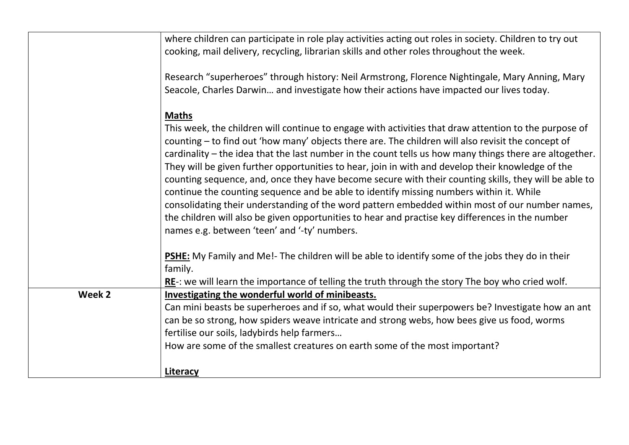|        | where children can participate in role play activities acting out roles in society. Children to try out<br>cooking, mail delivery, recycling, librarian skills and other roles throughout the week.                                                                                                                                                                                                                                                                                                                                                                                                                                                                                                                                                                                                                                                                                    |
|--------|----------------------------------------------------------------------------------------------------------------------------------------------------------------------------------------------------------------------------------------------------------------------------------------------------------------------------------------------------------------------------------------------------------------------------------------------------------------------------------------------------------------------------------------------------------------------------------------------------------------------------------------------------------------------------------------------------------------------------------------------------------------------------------------------------------------------------------------------------------------------------------------|
|        | Research "superheroes" through history: Neil Armstrong, Florence Nightingale, Mary Anning, Mary<br>Seacole, Charles Darwin and investigate how their actions have impacted our lives today.                                                                                                                                                                                                                                                                                                                                                                                                                                                                                                                                                                                                                                                                                            |
|        | <b>Maths</b>                                                                                                                                                                                                                                                                                                                                                                                                                                                                                                                                                                                                                                                                                                                                                                                                                                                                           |
|        | This week, the children will continue to engage with activities that draw attention to the purpose of<br>counting - to find out 'how many' objects there are. The children will also revisit the concept of<br>cardinality – the idea that the last number in the count tells us how many things there are altogether.<br>They will be given further opportunities to hear, join in with and develop their knowledge of the<br>counting sequence, and, once they have become secure with their counting skills, they will be able to<br>continue the counting sequence and be able to identify missing numbers within it. While<br>consolidating their understanding of the word pattern embedded within most of our number names,<br>the children will also be given opportunities to hear and practise key differences in the number<br>names e.g. between 'teen' and '-ty' numbers. |
|        | <b>PSHE:</b> My Family and Me!- The children will be able to identify some of the jobs they do in their<br>family.                                                                                                                                                                                                                                                                                                                                                                                                                                                                                                                                                                                                                                                                                                                                                                     |
|        | $RE$ -: we will learn the importance of telling the truth through the story The boy who cried wolf.                                                                                                                                                                                                                                                                                                                                                                                                                                                                                                                                                                                                                                                                                                                                                                                    |
| Week 2 | Investigating the wonderful world of minibeasts.                                                                                                                                                                                                                                                                                                                                                                                                                                                                                                                                                                                                                                                                                                                                                                                                                                       |
|        | Can mini beasts be superheroes and if so, what would their superpowers be? Investigate how an ant                                                                                                                                                                                                                                                                                                                                                                                                                                                                                                                                                                                                                                                                                                                                                                                      |
|        | can be so strong, how spiders weave intricate and strong webs, how bees give us food, worms                                                                                                                                                                                                                                                                                                                                                                                                                                                                                                                                                                                                                                                                                                                                                                                            |
|        | fertilise our soils, ladybirds help farmers                                                                                                                                                                                                                                                                                                                                                                                                                                                                                                                                                                                                                                                                                                                                                                                                                                            |
|        | How are some of the smallest creatures on earth some of the most important?                                                                                                                                                                                                                                                                                                                                                                                                                                                                                                                                                                                                                                                                                                                                                                                                            |
|        | Literacy                                                                                                                                                                                                                                                                                                                                                                                                                                                                                                                                                                                                                                                                                                                                                                                                                                                                               |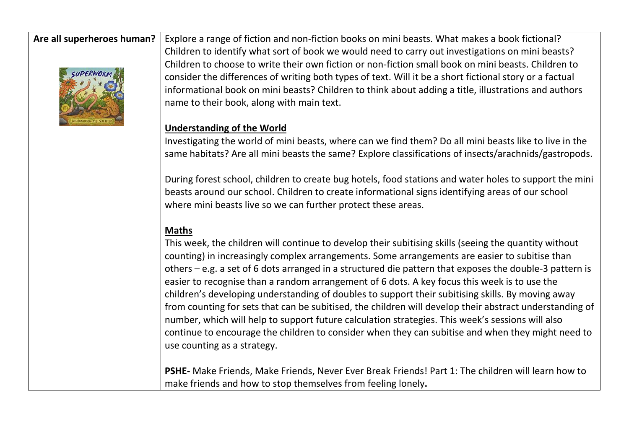

**Are all superheroes human?** Explore a range of fiction and non-fiction books on mini beasts. What makes a book fictional? Children to identify what sort of book we would need to carry out investigations on mini beasts? Children to choose to write their own fiction or non-fiction small book on mini beasts. Children to consider the differences of writing both types of text. Will it be a short fictional story or a factual informational book on mini beasts? Children to think about adding a title, illustrations and authors name to their book, along with main text.

#### **Understanding of the World**

Investigating the world of mini beasts, where can we find them? Do all mini beasts like to live in the same habitats? Are all mini beasts the same? Explore classifications of insects/arachnids/gastropods.

During forest school, children to create bug hotels, food stations and water holes to support the mini beasts around our school. Children to create informational signs identifying areas of our school where mini beasts live so we can further protect these areas.

#### **Maths**

This week, the children will continue to develop their subitising skills (seeing the quantity without counting) in increasingly complex arrangements. Some arrangements are easier to subitise than others – e.g. a set of 6 dots arranged in a structured die pattern that exposes the double-3 pattern is easier to recognise than a random arrangement of 6 dots. A key focus this week is to use the children's developing understanding of doubles to support their subitising skills. By moving away from counting for sets that can be subitised, the children will develop their abstract understanding of number, which will help to support future calculation strategies. This week's sessions will also continue to encourage the children to consider when they can subitise and when they might need to use counting as a strategy.

**PSHE-** Make Friends, Make Friends, Never Ever Break Friends! Part 1: The children will learn how to make friends and how to stop themselves from feeling lonely**.**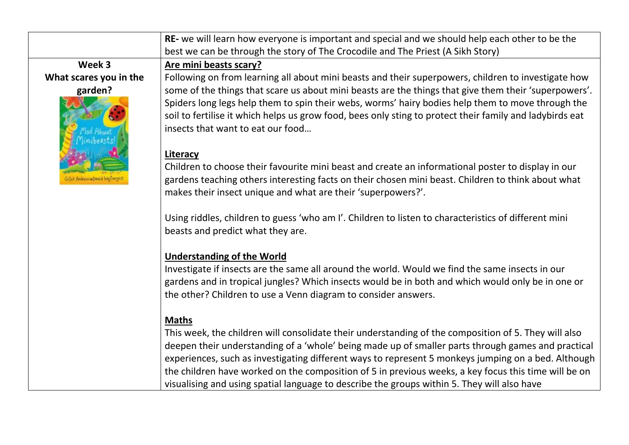| RE- we will learn how everyone is important and special and we should help each other to be the<br>best we can be through the story of The Crocodile and The Priest (A Sikh Story)<br>Week 3<br>Are mini beasts scary?<br>What scares you in the<br>Following on from learning all about mini beasts and their superpowers, children to investigate how<br>some of the things that scare us about mini beasts are the things that give them their 'superpowers'.<br>garden?<br>Spiders long legs help them to spin their webs, worms' hairy bodies help them to move through the<br>soil to fertilise it which helps us grow food, bees only sting to protect their family and ladybirds eat<br>insects that want to eat our food<br>Literacy<br>Children to choose their favourite mini beast and create an informational poster to display in our<br>gardens teaching others interesting facts on their chosen mini beast. Children to think about what<br>makes their insect unique and what are their 'superpowers?'.<br>Using riddles, children to guess 'who am I'. Children to listen to characteristics of different mini<br>beasts and predict what they are.<br><b>Understanding of the World</b><br>Investigate if insects are the same all around the world. Would we find the same insects in our<br>gardens and in tropical jungles? Which insects would be in both and which would only be in one or<br>the other? Children to use a Venn diagram to consider answers.<br><b>Maths</b><br>This week, the children will consolidate their understanding of the composition of 5. They will also<br>deepen their understanding of a 'whole' being made up of smaller parts through games and practical<br>experiences, such as investigating different ways to represent 5 monkeys jumping on a bed. Although<br>the children have worked on the composition of 5 in previous weeks, a key focus this time will be on |  |                                                                                             |
|------------------------------------------------------------------------------------------------------------------------------------------------------------------------------------------------------------------------------------------------------------------------------------------------------------------------------------------------------------------------------------------------------------------------------------------------------------------------------------------------------------------------------------------------------------------------------------------------------------------------------------------------------------------------------------------------------------------------------------------------------------------------------------------------------------------------------------------------------------------------------------------------------------------------------------------------------------------------------------------------------------------------------------------------------------------------------------------------------------------------------------------------------------------------------------------------------------------------------------------------------------------------------------------------------------------------------------------------------------------------------------------------------------------------------------------------------------------------------------------------------------------------------------------------------------------------------------------------------------------------------------------------------------------------------------------------------------------------------------------------------------------------------------------------------------------------------------------------------------------------------------------------------------------------------------|--|---------------------------------------------------------------------------------------------|
|                                                                                                                                                                                                                                                                                                                                                                                                                                                                                                                                                                                                                                                                                                                                                                                                                                                                                                                                                                                                                                                                                                                                                                                                                                                                                                                                                                                                                                                                                                                                                                                                                                                                                                                                                                                                                                                                                                                                    |  |                                                                                             |
|                                                                                                                                                                                                                                                                                                                                                                                                                                                                                                                                                                                                                                                                                                                                                                                                                                                                                                                                                                                                                                                                                                                                                                                                                                                                                                                                                                                                                                                                                                                                                                                                                                                                                                                                                                                                                                                                                                                                    |  |                                                                                             |
|                                                                                                                                                                                                                                                                                                                                                                                                                                                                                                                                                                                                                                                                                                                                                                                                                                                                                                                                                                                                                                                                                                                                                                                                                                                                                                                                                                                                                                                                                                                                                                                                                                                                                                                                                                                                                                                                                                                                    |  |                                                                                             |
|                                                                                                                                                                                                                                                                                                                                                                                                                                                                                                                                                                                                                                                                                                                                                                                                                                                                                                                                                                                                                                                                                                                                                                                                                                                                                                                                                                                                                                                                                                                                                                                                                                                                                                                                                                                                                                                                                                                                    |  |                                                                                             |
|                                                                                                                                                                                                                                                                                                                                                                                                                                                                                                                                                                                                                                                                                                                                                                                                                                                                                                                                                                                                                                                                                                                                                                                                                                                                                                                                                                                                                                                                                                                                                                                                                                                                                                                                                                                                                                                                                                                                    |  |                                                                                             |
|                                                                                                                                                                                                                                                                                                                                                                                                                                                                                                                                                                                                                                                                                                                                                                                                                                                                                                                                                                                                                                                                                                                                                                                                                                                                                                                                                                                                                                                                                                                                                                                                                                                                                                                                                                                                                                                                                                                                    |  |                                                                                             |
|                                                                                                                                                                                                                                                                                                                                                                                                                                                                                                                                                                                                                                                                                                                                                                                                                                                                                                                                                                                                                                                                                                                                                                                                                                                                                                                                                                                                                                                                                                                                                                                                                                                                                                                                                                                                                                                                                                                                    |  |                                                                                             |
|                                                                                                                                                                                                                                                                                                                                                                                                                                                                                                                                                                                                                                                                                                                                                                                                                                                                                                                                                                                                                                                                                                                                                                                                                                                                                                                                                                                                                                                                                                                                                                                                                                                                                                                                                                                                                                                                                                                                    |  |                                                                                             |
|                                                                                                                                                                                                                                                                                                                                                                                                                                                                                                                                                                                                                                                                                                                                                                                                                                                                                                                                                                                                                                                                                                                                                                                                                                                                                                                                                                                                                                                                                                                                                                                                                                                                                                                                                                                                                                                                                                                                    |  |                                                                                             |
|                                                                                                                                                                                                                                                                                                                                                                                                                                                                                                                                                                                                                                                                                                                                                                                                                                                                                                                                                                                                                                                                                                                                                                                                                                                                                                                                                                                                                                                                                                                                                                                                                                                                                                                                                                                                                                                                                                                                    |  |                                                                                             |
|                                                                                                                                                                                                                                                                                                                                                                                                                                                                                                                                                                                                                                                                                                                                                                                                                                                                                                                                                                                                                                                                                                                                                                                                                                                                                                                                                                                                                                                                                                                                                                                                                                                                                                                                                                                                                                                                                                                                    |  |                                                                                             |
|                                                                                                                                                                                                                                                                                                                                                                                                                                                                                                                                                                                                                                                                                                                                                                                                                                                                                                                                                                                                                                                                                                                                                                                                                                                                                                                                                                                                                                                                                                                                                                                                                                                                                                                                                                                                                                                                                                                                    |  |                                                                                             |
|                                                                                                                                                                                                                                                                                                                                                                                                                                                                                                                                                                                                                                                                                                                                                                                                                                                                                                                                                                                                                                                                                                                                                                                                                                                                                                                                                                                                                                                                                                                                                                                                                                                                                                                                                                                                                                                                                                                                    |  |                                                                                             |
|                                                                                                                                                                                                                                                                                                                                                                                                                                                                                                                                                                                                                                                                                                                                                                                                                                                                                                                                                                                                                                                                                                                                                                                                                                                                                                                                                                                                                                                                                                                                                                                                                                                                                                                                                                                                                                                                                                                                    |  |                                                                                             |
|                                                                                                                                                                                                                                                                                                                                                                                                                                                                                                                                                                                                                                                                                                                                                                                                                                                                                                                                                                                                                                                                                                                                                                                                                                                                                                                                                                                                                                                                                                                                                                                                                                                                                                                                                                                                                                                                                                                                    |  |                                                                                             |
|                                                                                                                                                                                                                                                                                                                                                                                                                                                                                                                                                                                                                                                                                                                                                                                                                                                                                                                                                                                                                                                                                                                                                                                                                                                                                                                                                                                                                                                                                                                                                                                                                                                                                                                                                                                                                                                                                                                                    |  |                                                                                             |
|                                                                                                                                                                                                                                                                                                                                                                                                                                                                                                                                                                                                                                                                                                                                                                                                                                                                                                                                                                                                                                                                                                                                                                                                                                                                                                                                                                                                                                                                                                                                                                                                                                                                                                                                                                                                                                                                                                                                    |  |                                                                                             |
|                                                                                                                                                                                                                                                                                                                                                                                                                                                                                                                                                                                                                                                                                                                                                                                                                                                                                                                                                                                                                                                                                                                                                                                                                                                                                                                                                                                                                                                                                                                                                                                                                                                                                                                                                                                                                                                                                                                                    |  |                                                                                             |
|                                                                                                                                                                                                                                                                                                                                                                                                                                                                                                                                                                                                                                                                                                                                                                                                                                                                                                                                                                                                                                                                                                                                                                                                                                                                                                                                                                                                                                                                                                                                                                                                                                                                                                                                                                                                                                                                                                                                    |  |                                                                                             |
|                                                                                                                                                                                                                                                                                                                                                                                                                                                                                                                                                                                                                                                                                                                                                                                                                                                                                                                                                                                                                                                                                                                                                                                                                                                                                                                                                                                                                                                                                                                                                                                                                                                                                                                                                                                                                                                                                                                                    |  |                                                                                             |
|                                                                                                                                                                                                                                                                                                                                                                                                                                                                                                                                                                                                                                                                                                                                                                                                                                                                                                                                                                                                                                                                                                                                                                                                                                                                                                                                                                                                                                                                                                                                                                                                                                                                                                                                                                                                                                                                                                                                    |  |                                                                                             |
|                                                                                                                                                                                                                                                                                                                                                                                                                                                                                                                                                                                                                                                                                                                                                                                                                                                                                                                                                                                                                                                                                                                                                                                                                                                                                                                                                                                                                                                                                                                                                                                                                                                                                                                                                                                                                                                                                                                                    |  |                                                                                             |
|                                                                                                                                                                                                                                                                                                                                                                                                                                                                                                                                                                                                                                                                                                                                                                                                                                                                                                                                                                                                                                                                                                                                                                                                                                                                                                                                                                                                                                                                                                                                                                                                                                                                                                                                                                                                                                                                                                                                    |  |                                                                                             |
|                                                                                                                                                                                                                                                                                                                                                                                                                                                                                                                                                                                                                                                                                                                                                                                                                                                                                                                                                                                                                                                                                                                                                                                                                                                                                                                                                                                                                                                                                                                                                                                                                                                                                                                                                                                                                                                                                                                                    |  |                                                                                             |
|                                                                                                                                                                                                                                                                                                                                                                                                                                                                                                                                                                                                                                                                                                                                                                                                                                                                                                                                                                                                                                                                                                                                                                                                                                                                                                                                                                                                                                                                                                                                                                                                                                                                                                                                                                                                                                                                                                                                    |  |                                                                                             |
|                                                                                                                                                                                                                                                                                                                                                                                                                                                                                                                                                                                                                                                                                                                                                                                                                                                                                                                                                                                                                                                                                                                                                                                                                                                                                                                                                                                                                                                                                                                                                                                                                                                                                                                                                                                                                                                                                                                                    |  | visualising and using spatial language to describe the groups within 5. They will also have |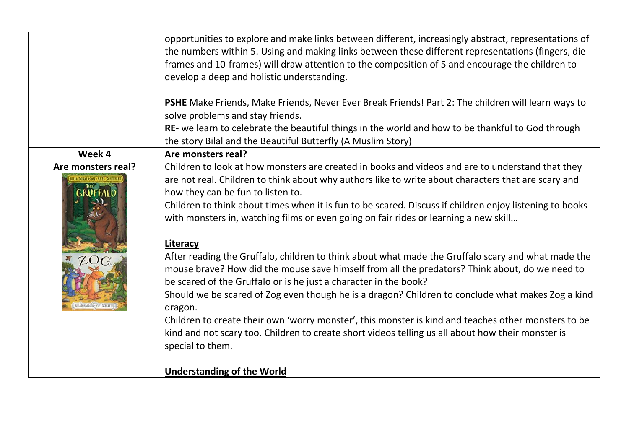|                    | opportunities to explore and make links between different, increasingly abstract, representations of<br>the numbers within 5. Using and making links between these different representations (fingers, die<br>frames and 10-frames) will draw attention to the composition of 5 and encourage the children to<br>develop a deep and holistic understanding.                                                                                     |
|--------------------|-------------------------------------------------------------------------------------------------------------------------------------------------------------------------------------------------------------------------------------------------------------------------------------------------------------------------------------------------------------------------------------------------------------------------------------------------|
|                    | PSHE Make Friends, Make Friends, Never Ever Break Friends! Part 2: The children will learn ways to<br>solve problems and stay friends.                                                                                                                                                                                                                                                                                                          |
|                    | RE- we learn to celebrate the beautiful things in the world and how to be thankful to God through<br>the story Bilal and the Beautiful Butterfly (A Muslim Story)                                                                                                                                                                                                                                                                               |
| Week 4             | Are monsters real?                                                                                                                                                                                                                                                                                                                                                                                                                              |
| Are monsters real? | Children to look at how monsters are created in books and videos and are to understand that they<br>are not real. Children to think about why authors like to write about characters that are scary and<br>how they can be fun to listen to.<br>Children to think about times when it is fun to be scared. Discuss if children enjoy listening to books<br>with monsters in, watching films or even going on fair rides or learning a new skill |
|                    |                                                                                                                                                                                                                                                                                                                                                                                                                                                 |
|                    | Literacy<br>After reading the Gruffalo, children to think about what made the Gruffalo scary and what made the<br>mouse brave? How did the mouse save himself from all the predators? Think about, do we need to<br>be scared of the Gruffalo or is he just a character in the book?                                                                                                                                                            |
|                    | Should we be scared of Zog even though he is a dragon? Children to conclude what makes Zog a kind<br>dragon.                                                                                                                                                                                                                                                                                                                                    |
|                    | Children to create their own 'worry monster', this monster is kind and teaches other monsters to be<br>kind and not scary too. Children to create short videos telling us all about how their monster is                                                                                                                                                                                                                                        |
|                    | special to them.                                                                                                                                                                                                                                                                                                                                                                                                                                |
|                    | <b>Understanding of the World</b>                                                                                                                                                                                                                                                                                                                                                                                                               |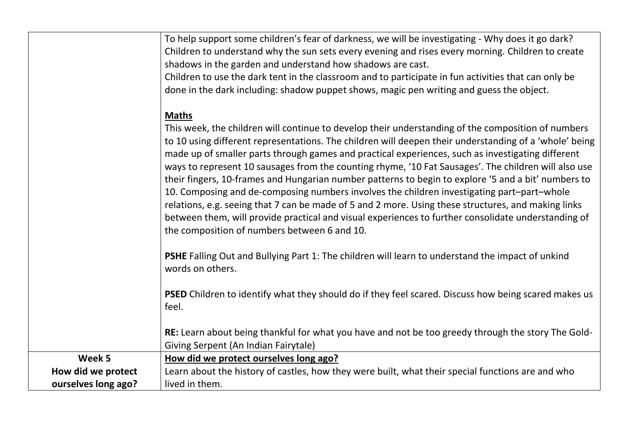|                     | To help support some children's fear of darkness, we will be investigating - Why does it go dark?<br>Children to understand why the sun sets every evening and rises every morning. Children to create<br>shadows in the garden and understand how shadows are cast.<br>Children to use the dark tent in the classroom and to participate in fun activities that can only be<br>done in the dark including: shadow puppet shows, magic pen writing and guess the object.                                                                                                                                                                                                                                                                                                                                                                                                                                     |
|---------------------|--------------------------------------------------------------------------------------------------------------------------------------------------------------------------------------------------------------------------------------------------------------------------------------------------------------------------------------------------------------------------------------------------------------------------------------------------------------------------------------------------------------------------------------------------------------------------------------------------------------------------------------------------------------------------------------------------------------------------------------------------------------------------------------------------------------------------------------------------------------------------------------------------------------|
|                     | <b>Maths</b><br>This week, the children will continue to develop their understanding of the composition of numbers<br>to 10 using different representations. The children will deepen their understanding of a 'whole' being<br>made up of smaller parts through games and practical experiences, such as investigating different<br>ways to represent 10 sausages from the counting rhyme, '10 Fat Sausages'. The children will also use<br>their fingers, 10-frames and Hungarian number patterns to begin to explore '5 and a bit' numbers to<br>10. Composing and de-composing numbers involves the children investigating part-part-whole<br>relations, e.g. seeing that 7 can be made of 5 and 2 more. Using these structures, and making links<br>between them, will provide practical and visual experiences to further consolidate understanding of<br>the composition of numbers between 6 and 10. |
|                     | PSHE Falling Out and Bullying Part 1: The children will learn to understand the impact of unkind<br>words on others.                                                                                                                                                                                                                                                                                                                                                                                                                                                                                                                                                                                                                                                                                                                                                                                         |
|                     | <b>PSED</b> Children to identify what they should do if they feel scared. Discuss how being scared makes us<br>feel.                                                                                                                                                                                                                                                                                                                                                                                                                                                                                                                                                                                                                                                                                                                                                                                         |
|                     | RE: Learn about being thankful for what you have and not be too greedy through the story The Gold-<br>Giving Serpent (An Indian Fairytale)                                                                                                                                                                                                                                                                                                                                                                                                                                                                                                                                                                                                                                                                                                                                                                   |
| Week 5              | How did we protect ourselves long ago?                                                                                                                                                                                                                                                                                                                                                                                                                                                                                                                                                                                                                                                                                                                                                                                                                                                                       |
| How did we protect  | Learn about the history of castles, how they were built, what their special functions are and who                                                                                                                                                                                                                                                                                                                                                                                                                                                                                                                                                                                                                                                                                                                                                                                                            |
| ourselves long ago? | lived in them.                                                                                                                                                                                                                                                                                                                                                                                                                                                                                                                                                                                                                                                                                                                                                                                                                                                                                               |
|                     |                                                                                                                                                                                                                                                                                                                                                                                                                                                                                                                                                                                                                                                                                                                                                                                                                                                                                                              |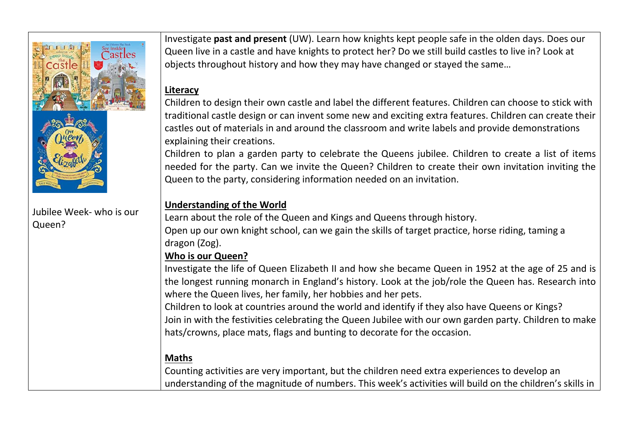

#### Jubilee Week- who is our Queen?

Investigate **past and present** (UW). Learn how knights kept people safe in the olden days. Does our Queen live in a castle and have knights to protect her? Do we still build castles to live in? Look at objects throughout history and how they may have changed or stayed the same…

#### **Literacy**

Children to design their own castle and label the different features. Children can choose to stick with traditional castle design or can invent some new and exciting extra features. Children can create their castles out of materials in and around the classroom and write labels and provide demonstrations explaining their creations.

Children to plan a garden party to celebrate the Queens jubilee. Children to create a list of items needed for the party. Can we invite the Queen? Children to create their own invitation inviting the Queen to the party, considering information needed on an invitation.

## **Understanding of the World**

Learn about the role of the Queen and Kings and Queens through history. Open up our own knight school, can we gain the skills of target practice, horse riding, taming a dragon (Zog).

### **Who is our Queen?**

Investigate the life of Queen Elizabeth II and how she became Queen in 1952 at the age of 25 and is the longest running monarch in England's history. Look at the job/role the Queen has. Research into where the Queen lives, her family, her hobbies and her pets.

Children to look at countries around the world and identify if they also have Queens or Kings? Join in with the festivities celebrating the Queen Jubilee with our own garden party. Children to make hats/crowns, place mats, flags and bunting to decorate for the occasion.

# **Maths**

Counting activities are very important, but the children need extra experiences to develop an understanding of the magnitude of numbers. This week's activities will build on the children's skills in